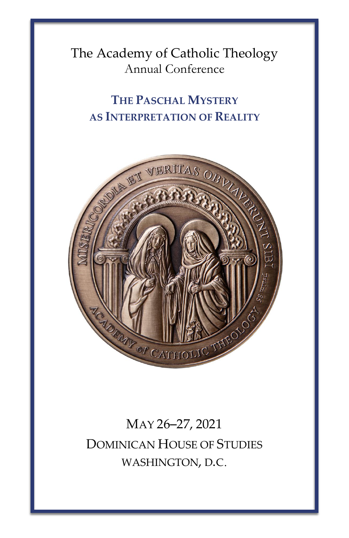The Academy of Catholic Theology Annual Conference

## **THE PASCHAL MYSTERY AS INTERPRETATION OF REALITY**



## MAY 26–27, 2021 DOMINICAN HOUSE OF STUDIES WASHINGTON, D.C.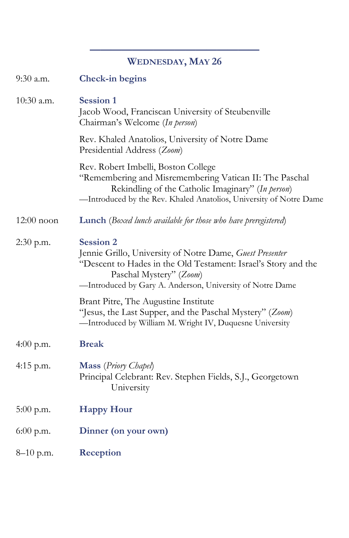## **———————————————— WEDNESDAY, MAY 26**

| 9:30 a.m.    | <b>Check-in begins</b>                                                                                                                                                                                                                 |
|--------------|----------------------------------------------------------------------------------------------------------------------------------------------------------------------------------------------------------------------------------------|
| $10:30$ a.m. | <b>Session 1</b><br>Jacob Wood, Franciscan University of Steubenville<br>Chairman's Welcome (In person)                                                                                                                                |
|              | Rev. Khaled Anatolios, University of Notre Dame<br>Presidential Address (Zoom)                                                                                                                                                         |
|              | Rev. Robert Imbelli, Boston College<br>"Remembering and Misremembering Vatican II: The Paschal<br>Rekindling of the Catholic Imaginary" (In person)<br>-Introduced by the Rev. Khaled Anatolios, University of Notre Dame              |
| $12:00$ noon | <b>Lunch</b> (Boxed lunch available for those who have preregistered)                                                                                                                                                                  |
| 2:30 p.m.    | <b>Session 2</b><br>Jennie Grillo, University of Notre Dame, Guest Presenter<br>"Descent to Hades in the Old Testament: Israel's Story and the<br>Paschal Mystery" (Zoom)<br>-Introduced by Gary A. Anderson, University of Notre Dame |
|              | Brant Pitre, The Augustine Institute<br>"Jesus, the Last Supper, and the Paschal Mystery" (Zoom)<br>-Introduced by William M. Wright IV, Duquesne University                                                                           |
| 4:00 p.m.    | <b>Break</b>                                                                                                                                                                                                                           |
| $4:15$ p.m.  | <b>Mass</b> (Priory Chapel)<br>Principal Celebrant: Rev. Stephen Fields, S.J., Georgetown<br>University                                                                                                                                |
| $5:00$ p.m.  | <b>Happy Hour</b>                                                                                                                                                                                                                      |
| $6:00$ p.m.  | Dinner (on your own)                                                                                                                                                                                                                   |
| $8-10$ p.m.  | Reception                                                                                                                                                                                                                              |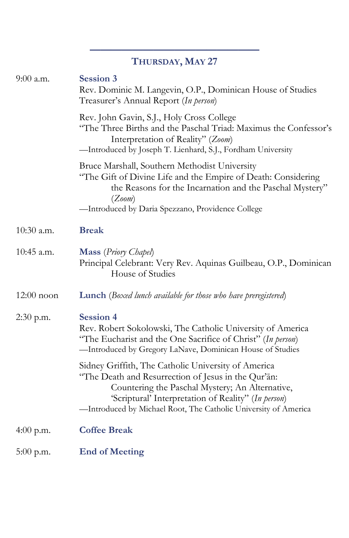|              | THURSDAY, MAY 27                                                                                                                                                                                                                                                                        |
|--------------|-----------------------------------------------------------------------------------------------------------------------------------------------------------------------------------------------------------------------------------------------------------------------------------------|
| 9:00 a.m.    | <b>Session 3</b><br>Rev. Dominic M. Langevin, O.P., Dominican House of Studies<br>Treasurer's Annual Report (In person)                                                                                                                                                                 |
|              | Rev. John Gavin, S.J., Holy Cross College<br>"The Three Births and the Paschal Triad: Maximus the Confessor's<br>Interpretation of Reality" (Zoom)<br>-Introduced by Joseph T. Lienhard, S.J., Fordham University                                                                       |
|              | Bruce Marshall, Southern Methodist University<br>"The Gift of Divine Life and the Empire of Death: Considering<br>the Reasons for the Incarnation and the Paschal Mystery"<br>(Zoom)                                                                                                    |
|              | -Introduced by Daria Spezzano, Providence College                                                                                                                                                                                                                                       |
| 10:30 a.m.   | <b>Break</b>                                                                                                                                                                                                                                                                            |
| 10:45 a.m.   | Mass (Priory Chapel)<br>Principal Celebrant: Very Rev. Aquinas Guilbeau, O.P., Dominican<br>House of Studies                                                                                                                                                                            |
| $12:00$ noon | <b>Lunch</b> (Boxed lunch available for those who have preregistered)                                                                                                                                                                                                                   |
| 2:30 p.m.    | <b>Session 4</b><br>Rev. Robert Sokolowski, The Catholic University of America<br>"The Eucharist and the One Sacrifice of Christ" (In person)<br>-Introduced by Gregory LaNave, Dominican House of Studies                                                                              |
|              | Sidney Griffith, The Catholic University of America<br>"The Death and Resurrection of Jesus in the Qur'an:<br>Countering the Paschal Mystery; An Alternative,<br>'Scriptural' Interpretation of Reality" (In person)<br>-Introduced by Michael Root, The Catholic University of America |
| 4:00 p.m.    | <b>Coffee Break</b>                                                                                                                                                                                                                                                                     |
| $5:00$ p.m.  | <b>End of Meeting</b>                                                                                                                                                                                                                                                                   |

**————————————————**